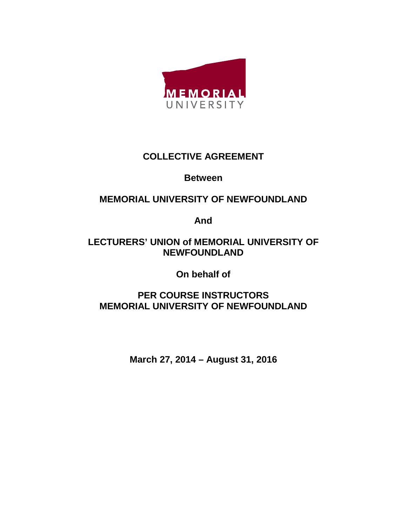

### **COLLECTIVE AGREEMENT**

### **Between**

## **MEMORIAL UNIVERSITY OF NEWFOUNDLAND**

**And**

### **LECTURERS' UNION of MEMORIAL UNIVERSITY OF NEWFOUNDLAND**

**On behalf of**

## **PER COURSE INSTRUCTORS MEMORIAL UNIVERSITY OF NEWFOUNDLAND**

**March 27, 2014 – August 31, 2016**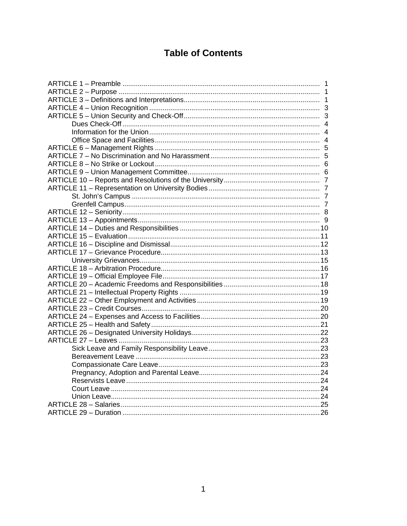# **Table of Contents**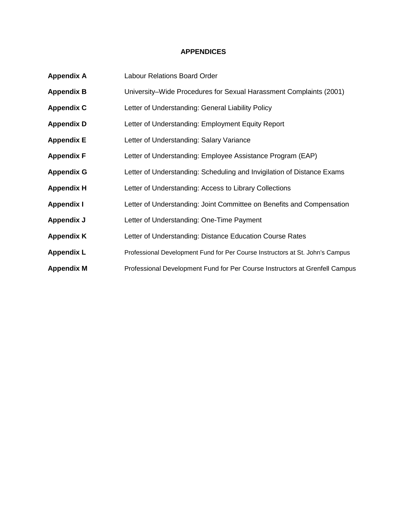#### **APPENDICES**

| <b>Appendix A</b> | <b>Labour Relations Board Order</b>                                           |
|-------------------|-------------------------------------------------------------------------------|
| <b>Appendix B</b> | University–Wide Procedures for Sexual Harassment Complaints (2001)            |
| <b>Appendix C</b> | Letter of Understanding: General Liability Policy                             |
| <b>Appendix D</b> | Letter of Understanding: Employment Equity Report                             |
| <b>Appendix E</b> | Letter of Understanding: Salary Variance                                      |
| <b>Appendix F</b> | Letter of Understanding: Employee Assistance Program (EAP)                    |
| <b>Appendix G</b> | Letter of Understanding: Scheduling and Invigilation of Distance Exams        |
| <b>Appendix H</b> | Letter of Understanding: Access to Library Collections                        |
| <b>Appendix I</b> | Letter of Understanding: Joint Committee on Benefits and Compensation         |
| Appendix J        | Letter of Understanding: One-Time Payment                                     |
| <b>Appendix K</b> | Letter of Understanding: Distance Education Course Rates                      |
| <b>Appendix L</b> | Professional Development Fund for Per Course Instructors at St. John's Campus |
| <b>Appendix M</b> | Professional Development Fund for Per Course Instructors at Grenfell Campus   |
|                   |                                                                               |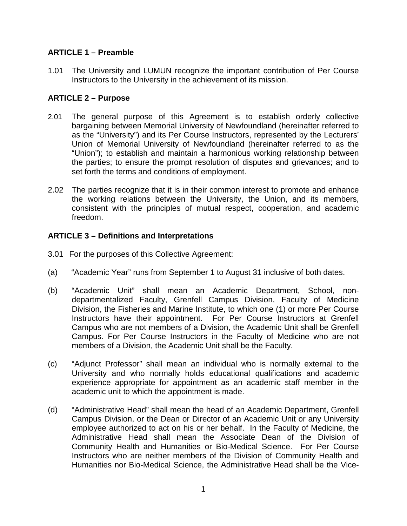#### **ARTICLE 1 – Preamble**

1.01 The University and LUMUN recognize the important contribution of Per Course Instructors to the University in the achievement of its mission.

#### **ARTICLE 2 – Purpose**

- 2.01 The general purpose of this Agreement is to establish orderly collective bargaining between Memorial University of Newfoundland (hereinafter referred to as the "University") and its Per Course Instructors, represented by the Lecturers' Union of Memorial University of Newfoundland (hereinafter referred to as the "Union"); to establish and maintain a harmonious working relationship between the parties; to ensure the prompt resolution of disputes and grievances; and to set forth the terms and conditions of employment.
- 2.02 The parties recognize that it is in their common interest to promote and enhance the working relations between the University, the Union, and its members, consistent with the principles of mutual respect, cooperation, and academic freedom.

### **ARTICLE 3 – Definitions and Interpretations**

- 3.01 For the purposes of this Collective Agreement:
- (a) "Academic Year" runs from September 1 to August 31 inclusive of both dates.
- (b) "Academic Unit" shall mean an Academic Department, School, nondepartmentalized Faculty, Grenfell Campus Division, Faculty of Medicine Division, the Fisheries and Marine Institute, to which one (1) or more Per Course Instructors have their appointment. For Per Course Instructors at Grenfell Campus who are not members of a Division, the Academic Unit shall be Grenfell Campus. For Per Course Instructors in the Faculty of Medicine who are not members of a Division, the Academic Unit shall be the Faculty.
- (c) "Adjunct Professor" shall mean an individual who is normally external to the University and who normally holds educational qualifications and academic experience appropriate for appointment as an academic staff member in the academic unit to which the appointment is made.
- (d) "Administrative Head" shall mean the head of an Academic Department, Grenfell Campus Division, or the Dean or Director of an Academic Unit or any University employee authorized to act on his or her behalf. In the Faculty of Medicine, the Administrative Head shall mean the Associate Dean of the Division of Community Health and Humanities or Bio-Medical Science. For Per Course Instructors who are neither members of the Division of Community Health and Humanities nor Bio-Medical Science, the Administrative Head shall be the Vice-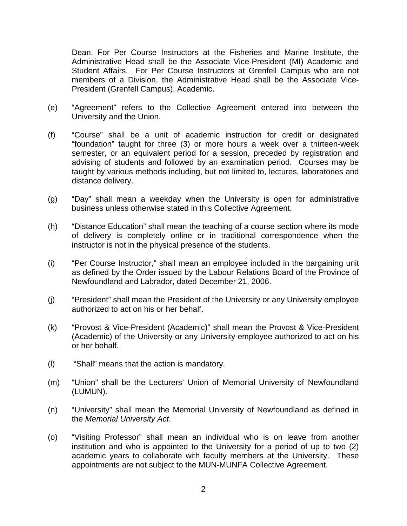Dean. For Per Course Instructors at the Fisheries and Marine Institute, the Administrative Head shall be the Associate Vice-President (MI) Academic and Student Affairs. For Per Course Instructors at Grenfell Campus who are not members of a Division, the Administrative Head shall be the Associate Vice-President (Grenfell Campus), Academic.

- (e) "Agreement" refers to the Collective Agreement entered into between the University and the Union.
- (f) "Course" shall be a unit of academic instruction for credit or designated "foundation" taught for three (3) or more hours a week over a thirteen-week semester, or an equivalent period for a session, preceded by registration and advising of students and followed by an examination period. Courses may be taught by various methods including, but not limited to, lectures, laboratories and distance delivery.
- (g) "Day" shall mean a weekday when the University is open for administrative business unless otherwise stated in this Collective Agreement.
- (h) "Distance Education" shall mean the teaching of a course section where its mode of delivery is completely online or in traditional correspondence when the instructor is not in the physical presence of the students.
- (i) "Per Course Instructor," shall mean an employee included in the bargaining unit as defined by the Order issued by the Labour Relations Board of the Province of Newfoundland and Labrador, dated December 21, 2006.
- (j) "President" shall mean the President of the University or any University employee authorized to act on his or her behalf.
- (k) "Provost & Vice-President (Academic)" shall mean the Provost & Vice-President (Academic) of the University or any University employee authorized to act on his or her behalf.
- (l) "Shall" means that the action is mandatory.
- (m) "Union" shall be the Lecturers' Union of Memorial University of Newfoundland (LUMUN).
- (n) "University" shall mean the Memorial University of Newfoundland as defined in the *Memorial University Act*.
- (o) "Visiting Professor" shall mean an individual who is on leave from another institution and who is appointed to the University for a period of up to two (2) academic years to collaborate with faculty members at the University. These appointments are not subject to the MUN-MUNFA Collective Agreement.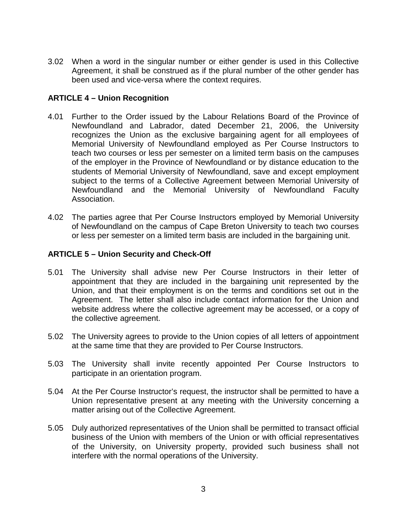3.02 When a word in the singular number or either gender is used in this Collective Agreement, it shall be construed as if the plural number of the other gender has been used and vice-versa where the context requires.

#### **ARTICLE 4 – Union Recognition**

- 4.01 Further to the Order issued by the Labour Relations Board of the Province of Newfoundland and Labrador, dated December 21, 2006, the University recognizes the Union as the exclusive bargaining agent for all employees of Memorial University of Newfoundland employed as Per Course Instructors to teach two courses or less per semester on a limited term basis on the campuses of the employer in the Province of Newfoundland or by distance education to the students of Memorial University of Newfoundland, save and except employment subject to the terms of a Collective Agreement between Memorial University of Newfoundland and the Memorial University of Newfoundland Faculty Association.
- 4.02 The parties agree that Per Course Instructors employed by Memorial University of Newfoundland on the campus of Cape Breton University to teach two courses or less per semester on a limited term basis are included in the bargaining unit.

#### **ARTICLE 5 – Union Security and Check-Off**

- 5.01 The University shall advise new Per Course Instructors in their letter of appointment that they are included in the bargaining unit represented by the Union, and that their employment is on the terms and conditions set out in the Agreement. The letter shall also include contact information for the Union and website address where the collective agreement may be accessed, or a copy of the collective agreement.
- 5.02 The University agrees to provide to the Union copies of all letters of appointment at the same time that they are provided to Per Course Instructors.
- 5.03 The University shall invite recently appointed Per Course Instructors to participate in an orientation program.
- 5.04 At the Per Course Instructor's request, the instructor shall be permitted to have a Union representative present at any meeting with the University concerning a matter arising out of the Collective Agreement.
- 5.05 Duly authorized representatives of the Union shall be permitted to transact official business of the Union with members of the Union or with official representatives of the University, on University property, provided such business shall not interfere with the normal operations of the University.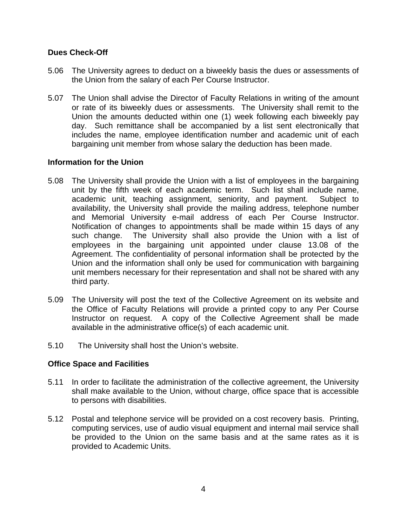#### **Dues Check-Off**

- 5.06 The University agrees to deduct on a biweekly basis the dues or assessments of the Union from the salary of each Per Course Instructor.
- 5.07 The Union shall advise the Director of Faculty Relations in writing of the amount or rate of its biweekly dues or assessments. The University shall remit to the Union the amounts deducted within one (1) week following each biweekly pay day. Such remittance shall be accompanied by a list sent electronically that includes the name, employee identification number and academic unit of each bargaining unit member from whose salary the deduction has been made.

#### **Information for the Union**

- 5.08 The University shall provide the Union with a list of employees in the bargaining unit by the fifth week of each academic term. Such list shall include name, academic unit, teaching assignment, seniority, and payment. Subject to availability, the University shall provide the mailing address, telephone number and Memorial University e-mail address of each Per Course Instructor. Notification of changes to appointments shall be made within 15 days of any such change. The University shall also provide the Union with a list of employees in the bargaining unit appointed under clause 13.08 of the Agreement. The confidentiality of personal information shall be protected by the Union and the information shall only be used for communication with bargaining unit members necessary for their representation and shall not be shared with any third party.
- 5.09 The University will post the text of the Collective Agreement on its website and the Office of Faculty Relations will provide a printed copy to any Per Course Instructor on request. A copy of the Collective Agreement shall be made available in the administrative office(s) of each academic unit.
- 5.10 The University shall host the Union's website.

#### **Office Space and Facilities**

- 5.11 In order to facilitate the administration of the collective agreement, the University shall make available to the Union, without charge, office space that is accessible to persons with disabilities.
- 5.12 Postal and telephone service will be provided on a cost recovery basis. Printing, computing services, use of audio visual equipment and internal mail service shall be provided to the Union on the same basis and at the same rates as it is provided to Academic Units.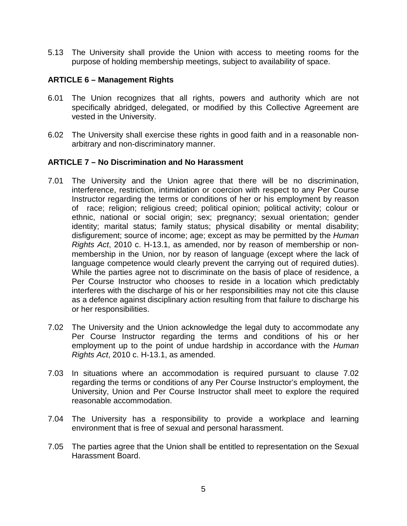5.13 The University shall provide the Union with access to meeting rooms for the purpose of holding membership meetings, subject to availability of space.

#### **ARTICLE 6 – Management Rights**

- 6.01 The Union recognizes that all rights, powers and authority which are not specifically abridged, delegated, or modified by this Collective Agreement are vested in the University.
- 6.02 The University shall exercise these rights in good faith and in a reasonable nonarbitrary and non-discriminatory manner.

#### **ARTICLE 7 – No Discrimination and No Harassment**

- 7.01 The University and the Union agree that there will be no discrimination, interference, restriction, intimidation or coercion with respect to any Per Course Instructor regarding the terms or conditions of her or his employment by reason of race; religion; religious creed; political opinion; political activity; colour or ethnic, national or social origin; sex; pregnancy; sexual orientation; gender identity; marital status; family status; physical disability or mental disability; disfigurement; source of income; age; except as may be permitted by the *Human Rights Act*, 2010 c. H-13.1, as amended, nor by reason of membership or nonmembership in the Union, nor by reason of language (except where the lack of language competence would clearly prevent the carrying out of required duties). While the parties agree not to discriminate on the basis of place of residence, a Per Course Instructor who chooses to reside in a location which predictably interferes with the discharge of his or her responsibilities may not cite this clause as a defence against disciplinary action resulting from that failure to discharge his or her responsibilities.
- 7.02 The University and the Union acknowledge the legal duty to accommodate any Per Course Instructor regarding the terms and conditions of his or her employment up to the point of undue hardship in accordance with the *Human Rights Act*, 2010 c. H-13.1, as amended.
- 7.03 In situations where an accommodation is required pursuant to clause 7.02 regarding the terms or conditions of any Per Course Instructor's employment, the University, Union and Per Course Instructor shall meet to explore the required reasonable accommodation.
- 7.04 The University has a responsibility to provide a workplace and learning environment that is free of sexual and personal harassment.
- 7.05 The parties agree that the Union shall be entitled to representation on the Sexual Harassment Board.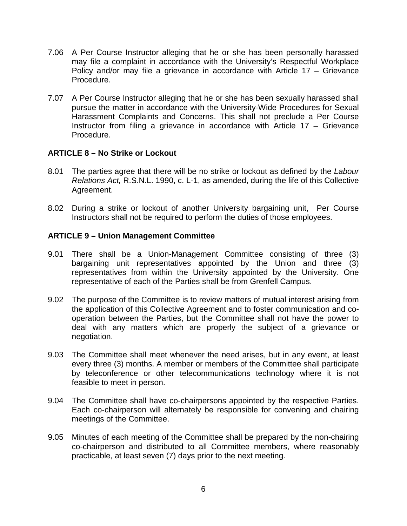- 7.06 A Per Course Instructor alleging that he or she has been personally harassed may file a complaint in accordance with the University's Respectful Workplace Policy and/or may file a grievance in accordance with Article 17 – Grievance Procedure.
- 7.07 A Per Course Instructor alleging that he or she has been sexually harassed shall pursue the matter in accordance with the University-Wide Procedures for Sexual Harassment Complaints and Concerns. This shall not preclude a Per Course Instructor from filing a grievance in accordance with Article 17 – Grievance Procedure.

#### **ARTICLE 8 – No Strike or Lockout**

- 8.01 The parties agree that there will be no strike or lockout as defined by the *Labour Relations Act,* R.S.N.L. 1990, c. L-1, as amended, during the life of this Collective Agreement.
- 8.02 During a strike or lockout of another University bargaining unit, Per Course Instructors shall not be required to perform the duties of those employees.

#### **ARTICLE 9 – Union Management Committee**

- 9.01 There shall be a Union-Management Committee consisting of three (3) bargaining unit representatives appointed by the Union and three (3) representatives from within the University appointed by the University. One representative of each of the Parties shall be from Grenfell Campus.
- 9.02 The purpose of the Committee is to review matters of mutual interest arising from the application of this Collective Agreement and to foster communication and cooperation between the Parties, but the Committee shall not have the power to deal with any matters which are properly the subject of a grievance or negotiation.
- 9.03 The Committee shall meet whenever the need arises, but in any event, at least every three (3) months. A member or members of the Committee shall participate by teleconference or other telecommunications technology where it is not feasible to meet in person.
- 9.04 The Committee shall have co-chairpersons appointed by the respective Parties. Each co-chairperson will alternately be responsible for convening and chairing meetings of the Committee.
- 9.05 Minutes of each meeting of the Committee shall be prepared by the non-chairing co-chairperson and distributed to all Committee members, where reasonably practicable, at least seven (7) days prior to the next meeting.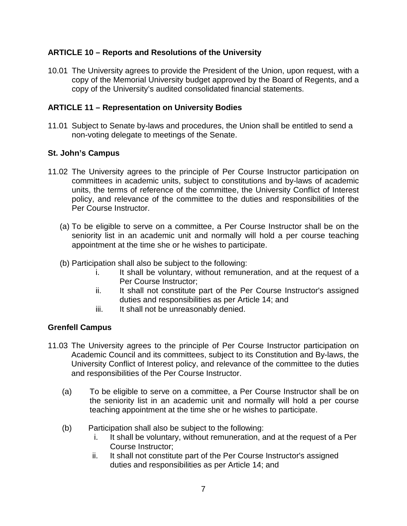#### **ARTICLE 10 – Reports and Resolutions of the University**

10.01 The University agrees to provide the President of the Union, upon request, with a copy of the Memorial University budget approved by the Board of Regents, and a copy of the University's audited consolidated financial statements.

#### **ARTICLE 11 – Representation on University Bodies**

11.01 Subject to Senate by-laws and procedures, the Union shall be entitled to send a non-voting delegate to meetings of the Senate.

#### **St. John's Campus**

- 11.02 The University agrees to the principle of Per Course Instructor participation on committees in academic units, subject to constitutions and by-laws of academic units, the terms of reference of the committee, the University Conflict of Interest policy, and relevance of the committee to the duties and responsibilities of the Per Course Instructor.
	- (a) To be eligible to serve on a committee, a Per Course Instructor shall be on the seniority list in an academic unit and normally will hold a per course teaching appointment at the time she or he wishes to participate.
	- (b) Participation shall also be subject to the following:
		- i. It shall be voluntary, without remuneration, and at the request of a Per Course Instructor;
		- ii. It shall not constitute part of the Per Course Instructor's assigned duties and responsibilities as per Article 14; and
		- iii. It shall not be unreasonably denied.

#### **Grenfell Campus**

- 11.03 The University agrees to the principle of Per Course Instructor participation on Academic Council and its committees, subject to its Constitution and By-laws, the University Conflict of Interest policy, and relevance of the committee to the duties and responsibilities of the Per Course Instructor.
	- (a) To be eligible to serve on a committee, a Per Course Instructor shall be on the seniority list in an academic unit and normally will hold a per course teaching appointment at the time she or he wishes to participate.
	- (b) Participation shall also be subject to the following:
		- i. It shall be voluntary, without remuneration, and at the request of a Per Course Instructor;
		- ii. It shall not constitute part of the Per Course Instructor's assigned duties and responsibilities as per Article 14; and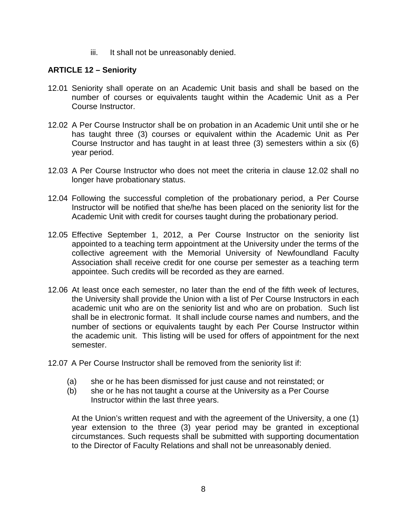iii. It shall not be unreasonably denied.

#### **ARTICLE 12 – Seniority**

- 12.01 Seniority shall operate on an Academic Unit basis and shall be based on the number of courses or equivalents taught within the Academic Unit as a Per Course Instructor.
- 12.02 A Per Course Instructor shall be on probation in an Academic Unit until she or he has taught three (3) courses or equivalent within the Academic Unit as Per Course Instructor and has taught in at least three (3) semesters within a six (6) year period.
- 12.03 A Per Course Instructor who does not meet the criteria in clause 12.02 shall no longer have probationary status.
- 12.04 Following the successful completion of the probationary period, a Per Course Instructor will be notified that she/he has been placed on the seniority list for the Academic Unit with credit for courses taught during the probationary period.
- 12.05 Effective September 1, 2012, a Per Course Instructor on the seniority list appointed to a teaching term appointment at the University under the terms of the collective agreement with the Memorial University of Newfoundland Faculty Association shall receive credit for one course per semester as a teaching term appointee. Such credits will be recorded as they are earned.
- 12.06 At least once each semester, no later than the end of the fifth week of lectures, the University shall provide the Union with a list of Per Course Instructors in each academic unit who are on the seniority list and who are on probation. Such list shall be in electronic format. It shall include course names and numbers, and the number of sections or equivalents taught by each Per Course Instructor within the academic unit. This listing will be used for offers of appointment for the next semester.
- 12.07 A Per Course Instructor shall be removed from the seniority list if:
	- (a) she or he has been dismissed for just cause and not reinstated; or
	- (b) she or he has not taught a course at the University as a Per Course Instructor within the last three years.

At the Union's written request and with the agreement of the University, a one (1) year extension to the three (3) year period may be granted in exceptional circumstances. Such requests shall be submitted with supporting documentation to the Director of Faculty Relations and shall not be unreasonably denied.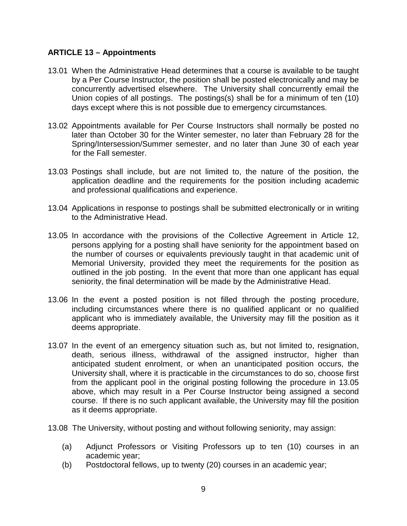#### **ARTICLE 13 – Appointments**

- 13.01 When the Administrative Head determines that a course is available to be taught by a Per Course Instructor, the position shall be posted electronically and may be concurrently advertised elsewhere. The University shall concurrently email the Union copies of all postings. The postings(s) shall be for a minimum of ten (10) days except where this is not possible due to emergency circumstances.
- 13.02 Appointments available for Per Course Instructors shall normally be posted no later than October 30 for the Winter semester, no later than February 28 for the Spring/Intersession/Summer semester, and no later than June 30 of each year for the Fall semester.
- 13.03 Postings shall include, but are not limited to, the nature of the position, the application deadline and the requirements for the position including academic and professional qualifications and experience.
- 13.04 Applications in response to postings shall be submitted electronically or in writing to the Administrative Head.
- 13.05 In accordance with the provisions of the Collective Agreement in Article 12, persons applying for a posting shall have seniority for the appointment based on the number of courses or equivalents previously taught in that academic unit of Memorial University, provided they meet the requirements for the position as outlined in the job posting. In the event that more than one applicant has equal seniority, the final determination will be made by the Administrative Head.
- 13.06 In the event a posted position is not filled through the posting procedure, including circumstances where there is no qualified applicant or no qualified applicant who is immediately available, the University may fill the position as it deems appropriate.
- 13.07 In the event of an emergency situation such as, but not limited to, resignation, death, serious illness, withdrawal of the assigned instructor, higher than anticipated student enrolment, or when an unanticipated position occurs, the University shall, where it is practicable in the circumstances to do so, choose first from the applicant pool in the original posting following the procedure in 13.05 above, which may result in a Per Course Instructor being assigned a second course. If there is no such applicant available, the University may fill the position as it deems appropriate.
- 13.08 The University, without posting and without following seniority, may assign:
	- (a) Adjunct Professors or Visiting Professors up to ten (10) courses in an academic year;
	- (b) Postdoctoral fellows, up to twenty (20) courses in an academic year;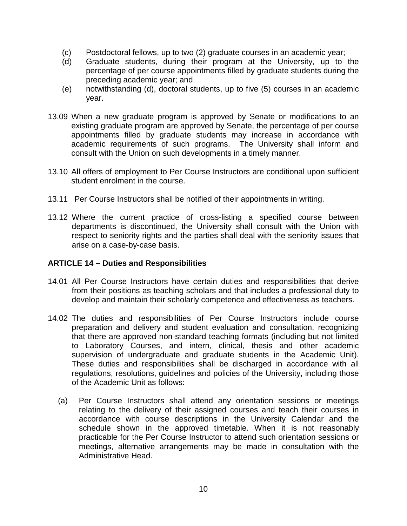- (c) Postdoctoral fellows, up to two (2) graduate courses in an academic year;
- (d) Graduate students, during their program at the University, up to the percentage of per course appointments filled by graduate students during the preceding academic year; and
- (e) notwithstanding (d), doctoral students, up to five (5) courses in an academic year.
- 13.09 When a new graduate program is approved by Senate or modifications to an existing graduate program are approved by Senate, the percentage of per course appointments filled by graduate students may increase in accordance with academic requirements of such programs. The University shall inform and consult with the Union on such developments in a timely manner.
- 13.10 All offers of employment to Per Course Instructors are conditional upon sufficient student enrolment in the course.
- 13.11 Per Course Instructors shall be notified of their appointments in writing.
- 13.12 Where the current practice of cross-listing a specified course between departments is discontinued, the University shall consult with the Union with respect to seniority rights and the parties shall deal with the seniority issues that arise on a case-by-case basis.

#### **ARTICLE 14 – Duties and Responsibilities**

- 14.01 All Per Course Instructors have certain duties and responsibilities that derive from their positions as teaching scholars and that includes a professional duty to develop and maintain their scholarly competence and effectiveness as teachers.
- 14.02 The duties and responsibilities of Per Course Instructors include course preparation and delivery and student evaluation and consultation, recognizing that there are approved non-standard teaching formats (including but not limited to Laboratory Courses, and intern, clinical, thesis and other academic supervision of undergraduate and graduate students in the Academic Unit). These duties and responsibilities shall be discharged in accordance with all regulations, resolutions, guidelines and policies of the University, including those of the Academic Unit as follows:
	- (a) Per Course Instructors shall attend any orientation sessions or meetings relating to the delivery of their assigned courses and teach their courses in accordance with course descriptions in the University Calendar and the schedule shown in the approved timetable. When it is not reasonably practicable for the Per Course Instructor to attend such orientation sessions or meetings, alternative arrangements may be made in consultation with the Administrative Head.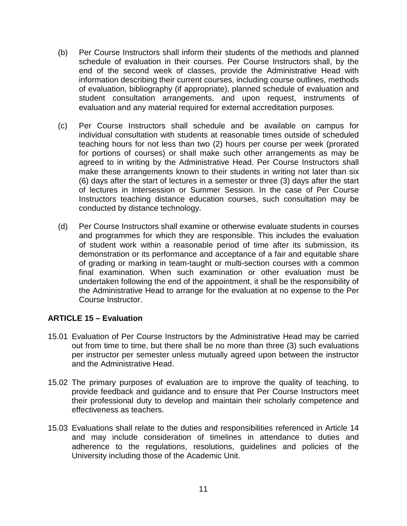- (b) Per Course Instructors shall inform their students of the methods and planned schedule of evaluation in their courses. Per Course Instructors shall, by the end of the second week of classes, provide the Administrative Head with information describing their current courses, including course outlines, methods of evaluation, bibliography (if appropriate), planned schedule of evaluation and student consultation arrangements, and upon request, instruments of evaluation and any material required for external accreditation purposes.
- (c) Per Course Instructors shall schedule and be available on campus for individual consultation with students at reasonable times outside of scheduled teaching hours for not less than two (2) hours per course per week (prorated for portions of courses) or shall make such other arrangements as may be agreed to in writing by the Administrative Head. Per Course Instructors shall make these arrangements known to their students in writing not later than six (6) days after the start of lectures in a semester or three (3) days after the start of lectures in Intersession or Summer Session. In the case of Per Course Instructors teaching distance education courses, such consultation may be conducted by distance technology.
- (d) Per Course Instructors shall examine or otherwise evaluate students in courses and programmes for which they are responsible. This includes the evaluation of student work within a reasonable period of time after its submission, its demonstration or its performance and acceptance of a fair and equitable share of grading or marking in team-taught or multi-section courses with a common final examination. When such examination or other evaluation must be undertaken following the end of the appointment, it shall be the responsibility of the Administrative Head to arrange for the evaluation at no expense to the Per Course Instructor.

#### **ARTICLE 15 – Evaluation**

- 15.01 Evaluation of Per Course Instructors by the Administrative Head may be carried out from time to time, but there shall be no more than three (3) such evaluations per instructor per semester unless mutually agreed upon between the instructor and the Administrative Head.
- 15.02 The primary purposes of evaluation are to improve the quality of teaching, to provide feedback and guidance and to ensure that Per Course Instructors meet their professional duty to develop and maintain their scholarly competence and effectiveness as teachers.
- 15.03 Evaluations shall relate to the duties and responsibilities referenced in Article 14 and may include consideration of timelines in attendance to duties and adherence to the regulations, resolutions, guidelines and policies of the University including those of the Academic Unit.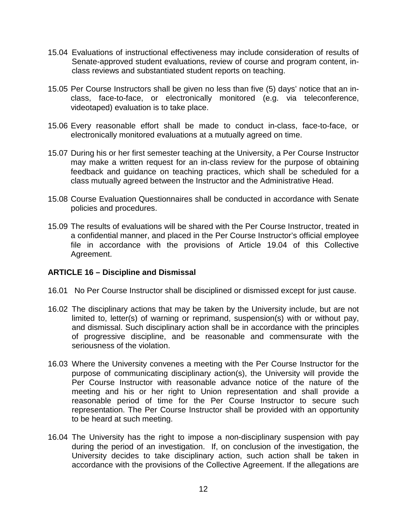- 15.04 Evaluations of instructional effectiveness may include consideration of results of Senate-approved student evaluations, review of course and program content, inclass reviews and substantiated student reports on teaching.
- 15.05 Per Course Instructors shall be given no less than five (5) days' notice that an inclass, face-to-face, or electronically monitored (e.g. via teleconference, videotaped) evaluation is to take place.
- 15.06 Every reasonable effort shall be made to conduct in-class, face-to-face, or electronically monitored evaluations at a mutually agreed on time.
- 15.07 During his or her first semester teaching at the University, a Per Course Instructor may make a written request for an in-class review for the purpose of obtaining feedback and guidance on teaching practices, which shall be scheduled for a class mutually agreed between the Instructor and the Administrative Head.
- 15.08 Course Evaluation Questionnaires shall be conducted in accordance with Senate policies and procedures.
- 15.09 The results of evaluations will be shared with the Per Course Instructor, treated in a confidential manner, and placed in the Per Course Instructor's official employee file in accordance with the provisions of Article 19.04 of this Collective Agreement.

#### **ARTICLE 16 – Discipline and Dismissal**

- 16.01 No Per Course Instructor shall be disciplined or dismissed except for just cause.
- 16.02 The disciplinary actions that may be taken by the University include, but are not limited to, letter(s) of warning or reprimand, suspension(s) with or without pay, and dismissal. Such disciplinary action shall be in accordance with the principles of progressive discipline, and be reasonable and commensurate with the seriousness of the violation.
- 16.03 Where the University convenes a meeting with the Per Course Instructor for the purpose of communicating disciplinary action(s), the University will provide the Per Course Instructor with reasonable advance notice of the nature of the meeting and his or her right to Union representation and shall provide a reasonable period of time for the Per Course Instructor to secure such representation. The Per Course Instructor shall be provided with an opportunity to be heard at such meeting.
- 16.04 The University has the right to impose a non-disciplinary suspension with pay during the period of an investigation. If, on conclusion of the investigation, the University decides to take disciplinary action, such action shall be taken in accordance with the provisions of the Collective Agreement. If the allegations are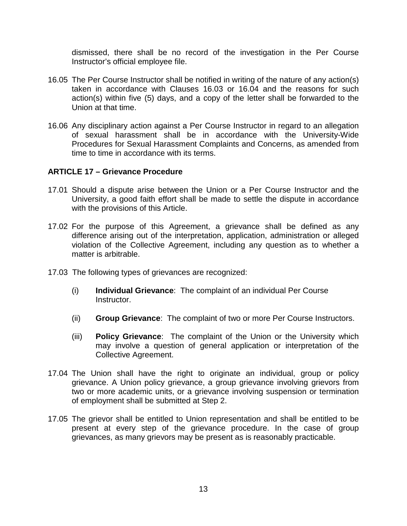dismissed, there shall be no record of the investigation in the Per Course Instructor's official employee file.

- 16.05 The Per Course Instructor shall be notified in writing of the nature of any action(s) taken in accordance with Clauses 16.03 or 16.04 and the reasons for such action(s) within five (5) days, and a copy of the letter shall be forwarded to the Union at that time.
- 16.06 Any disciplinary action against a Per Course Instructor in regard to an allegation of sexual harassment shall be in accordance with the University-Wide Procedures for Sexual Harassment Complaints and Concerns, as amended from time to time in accordance with its terms.

#### **ARTICLE 17 – Grievance Procedure**

- 17.01 Should a dispute arise between the Union or a Per Course Instructor and the University, a good faith effort shall be made to settle the dispute in accordance with the provisions of this Article.
- 17.02 For the purpose of this Agreement, a grievance shall be defined as any difference arising out of the interpretation, application, administration or alleged violation of the Collective Agreement, including any question as to whether a matter is arbitrable.
- 17.03 The following types of grievances are recognized:
	- (i) **Individual Grievance**: The complaint of an individual Per Course Instructor.
	- (ii) **Group Grievance**: The complaint of two or more Per Course Instructors.
	- (iii) **Policy Grievance**: The complaint of the Union or the University which may involve a question of general application or interpretation of the Collective Agreement.
- 17.04 The Union shall have the right to originate an individual, group or policy grievance. A Union policy grievance, a group grievance involving grievors from two or more academic units, or a grievance involving suspension or termination of employment shall be submitted at Step 2.
- 17.05 The grievor shall be entitled to Union representation and shall be entitled to be present at every step of the grievance procedure. In the case of group grievances, as many grievors may be present as is reasonably practicable.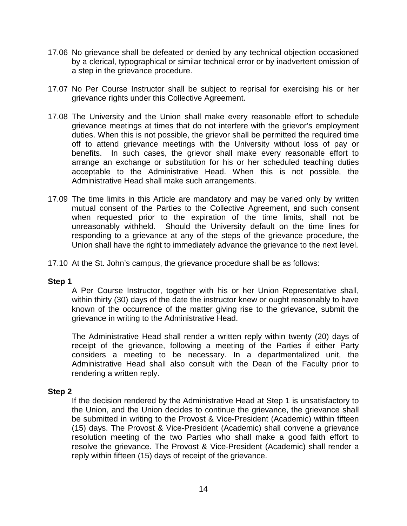- 17.06 No grievance shall be defeated or denied by any technical objection occasioned by a clerical, typographical or similar technical error or by inadvertent omission of a step in the grievance procedure.
- 17.07 No Per Course Instructor shall be subject to reprisal for exercising his or her grievance rights under this Collective Agreement.
- 17.08 The University and the Union shall make every reasonable effort to schedule grievance meetings at times that do not interfere with the grievor's employment duties. When this is not possible, the grievor shall be permitted the required time off to attend grievance meetings with the University without loss of pay or benefits. In such cases, the grievor shall make every reasonable effort to arrange an exchange or substitution for his or her scheduled teaching duties acceptable to the Administrative Head. When this is not possible, the Administrative Head shall make such arrangements.
- 17.09 The time limits in this Article are mandatory and may be varied only by written mutual consent of the Parties to the Collective Agreement, and such consent when requested prior to the expiration of the time limits, shall not be unreasonably withheld. Should the University default on the time lines for responding to a grievance at any of the steps of the grievance procedure, the Union shall have the right to immediately advance the grievance to the next level.
- 17.10 At the St. John's campus, the grievance procedure shall be as follows:

#### **Step 1**

A Per Course Instructor, together with his or her Union Representative shall, within thirty (30) days of the date the instructor knew or ought reasonably to have known of the occurrence of the matter giving rise to the grievance, submit the grievance in writing to the Administrative Head.

The Administrative Head shall render a written reply within twenty (20) days of receipt of the grievance, following a meeting of the Parties if either Party considers a meeting to be necessary. In a departmentalized unit, the Administrative Head shall also consult with the Dean of the Faculty prior to rendering a written reply.

#### **Step 2**

If the decision rendered by the Administrative Head at Step 1 is unsatisfactory to the Union, and the Union decides to continue the grievance, the grievance shall be submitted in writing to the Provost & Vice-President (Academic) within fifteen (15) days. The Provost & Vice-President (Academic) shall convene a grievance resolution meeting of the two Parties who shall make a good faith effort to resolve the grievance. The Provost & Vice-President (Academic) shall render a reply within fifteen (15) days of receipt of the grievance.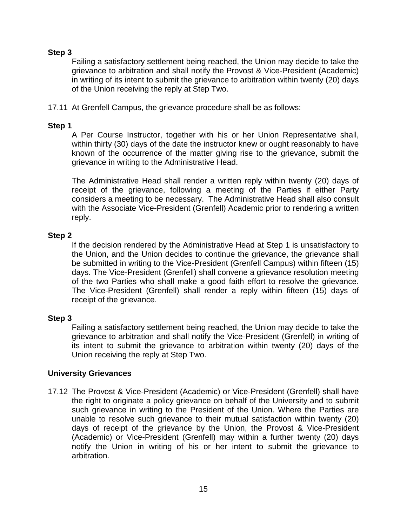#### **Step 3**

Failing a satisfactory settlement being reached, the Union may decide to take the grievance to arbitration and shall notify the Provost & Vice-President (Academic) in writing of its intent to submit the grievance to arbitration within twenty (20) days of the Union receiving the reply at Step Two.

17.11 At Grenfell Campus, the grievance procedure shall be as follows:

#### **Step 1**

A Per Course Instructor, together with his or her Union Representative shall, within thirty (30) days of the date the instructor knew or ought reasonably to have known of the occurrence of the matter giving rise to the grievance, submit the grievance in writing to the Administrative Head.

The Administrative Head shall render a written reply within twenty (20) days of receipt of the grievance, following a meeting of the Parties if either Party considers a meeting to be necessary. The Administrative Head shall also consult with the Associate Vice-President (Grenfell) Academic prior to rendering a written reply.

#### **Step 2**

If the decision rendered by the Administrative Head at Step 1 is unsatisfactory to the Union, and the Union decides to continue the grievance, the grievance shall be submitted in writing to the Vice-President (Grenfell Campus) within fifteen (15) days. The Vice-President (Grenfell) shall convene a grievance resolution meeting of the two Parties who shall make a good faith effort to resolve the grievance. The Vice-President (Grenfell) shall render a reply within fifteen (15) days of receipt of the grievance.

#### **Step 3**

Failing a satisfactory settlement being reached, the Union may decide to take the grievance to arbitration and shall notify the Vice-President (Grenfell) in writing of its intent to submit the grievance to arbitration within twenty (20) days of the Union receiving the reply at Step Two.

#### **University Grievances**

17.12 The Provost & Vice-President (Academic) or Vice-President (Grenfell) shall have the right to originate a policy grievance on behalf of the University and to submit such grievance in writing to the President of the Union. Where the Parties are unable to resolve such grievance to their mutual satisfaction within twenty (20) days of receipt of the grievance by the Union, the Provost & Vice-President (Academic) or Vice-President (Grenfell) may within a further twenty (20) days notify the Union in writing of his or her intent to submit the grievance to arbitration.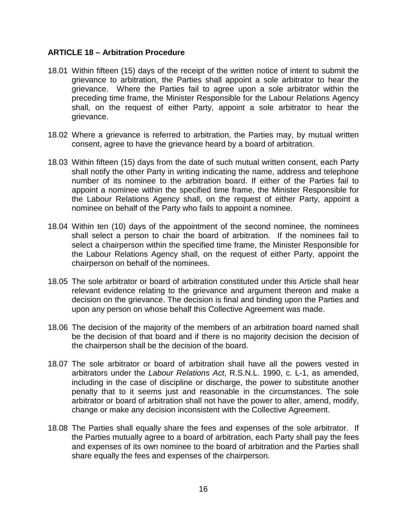#### **ARTICLE 18 – Arbitration Procedure**

- 18.01 Within fifteen (15) days of the receipt of the written notice of intent to submit the grievance to arbitration, the Parties shall appoint a sole arbitrator to hear the grievance. Where the Parties fail to agree upon a sole arbitrator within the preceding time frame, the Minister Responsible for the Labour Relations Agency shall, on the request of either Party, appoint a sole arbitrator to hear the grievance.
- 18.02 Where a grievance is referred to arbitration, the Parties may, by mutual written consent, agree to have the grievance heard by a board of arbitration.
- 18.03 Within fifteen (15) days from the date of such mutual written consent, each Party shall notify the other Party in writing indicating the name, address and telephone number of its nominee to the arbitration board. If either of the Parties fail to appoint a nominee within the specified time frame, the Minister Responsible for the Labour Relations Agency shall, on the request of either Party, appoint a nominee on behalf of the Party who fails to appoint a nominee.
- 18.04 Within ten (10) days of the appointment of the second nominee, the nominees shall select a person to chair the board of arbitration. If the nominees fail to select a chairperson within the specified time frame, the Minister Responsible for the Labour Relations Agency shall, on the request of either Party, appoint the chairperson on behalf of the nominees.
- 18.05 The sole arbitrator or board of arbitration constituted under this Article shall hear relevant evidence relating to the grievance and argument thereon and make a decision on the grievance. The decision is final and binding upon the Parties and upon any person on whose behalf this Collective Agreement was made.
- 18.06 The decision of the majority of the members of an arbitration board named shall be the decision of that board and if there is no majority decision the decision of the chairperson shall be the decision of the board.
- 18.07 The sole arbitrator or board of arbitration shall have all the powers vested in arbitrators under the *Labour Relations Act*, R.S.N.L. 1990, c. L-1, as amended, including in the case of discipline or discharge, the power to substitute another penalty that to it seems just and reasonable in the circumstances. The sole arbitrator or board of arbitration shall not have the power to alter, amend, modify, change or make any decision inconsistent with the Collective Agreement.
- 18.08 The Parties shall equally share the fees and expenses of the sole arbitrator. If the Parties mutually agree to a board of arbitration, each Party shall pay the fees and expenses of its own nominee to the board of arbitration and the Parties shall share equally the fees and expenses of the chairperson.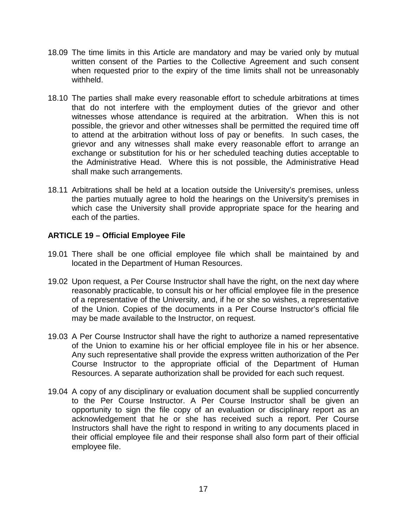- 18.09 The time limits in this Article are mandatory and may be varied only by mutual written consent of the Parties to the Collective Agreement and such consent when requested prior to the expiry of the time limits shall not be unreasonably withheld.
- 18.10 The parties shall make every reasonable effort to schedule arbitrations at times that do not interfere with the employment duties of the grievor and other witnesses whose attendance is required at the arbitration. When this is not possible, the grievor and other witnesses shall be permitted the required time off to attend at the arbitration without loss of pay or benefits. In such cases, the grievor and any witnesses shall make every reasonable effort to arrange an exchange or substitution for his or her scheduled teaching duties acceptable to the Administrative Head. Where this is not possible, the Administrative Head shall make such arrangements.
- 18.11 Arbitrations shall be held at a location outside the University's premises, unless the parties mutually agree to hold the hearings on the University's premises in which case the University shall provide appropriate space for the hearing and each of the parties.

#### **ARTICLE 19 – Official Employee File**

- 19.01 There shall be one official employee file which shall be maintained by and located in the Department of Human Resources.
- 19.02 Upon request, a Per Course Instructor shall have the right, on the next day where reasonably practicable, to consult his or her official employee file in the presence of a representative of the University, and, if he or she so wishes, a representative of the Union. Copies of the documents in a Per Course Instructor's official file may be made available to the Instructor, on request.
- 19.03 A Per Course Instructor shall have the right to authorize a named representative of the Union to examine his or her official employee file in his or her absence. Any such representative shall provide the express written authorization of the Per Course Instructor to the appropriate official of the Department of Human Resources. A separate authorization shall be provided for each such request.
- 19.04 A copy of any disciplinary or evaluation document shall be supplied concurrently to the Per Course Instructor. A Per Course Instructor shall be given an opportunity to sign the file copy of an evaluation or disciplinary report as an acknowledgement that he or she has received such a report. Per Course Instructors shall have the right to respond in writing to any documents placed in their official employee file and their response shall also form part of their official employee file.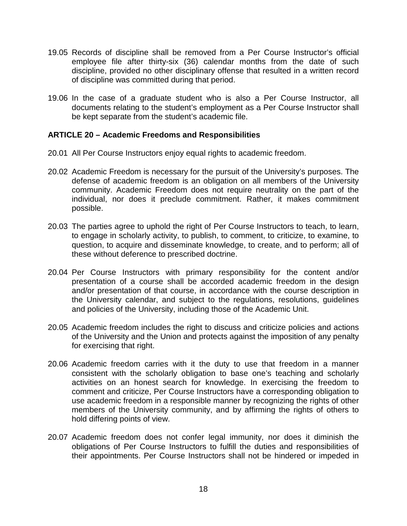- 19.05 Records of discipline shall be removed from a Per Course Instructor's official employee file after thirty-six (36) calendar months from the date of such discipline, provided no other disciplinary offense that resulted in a written record of discipline was committed during that period.
- 19.06 In the case of a graduate student who is also a Per Course Instructor, all documents relating to the student's employment as a Per Course Instructor shall be kept separate from the student's academic file.

#### **ARTICLE 20 – Academic Freedoms and Responsibilities**

- 20.01 All Per Course Instructors enjoy equal rights to academic freedom.
- 20.02 Academic Freedom is necessary for the pursuit of the University's purposes. The defense of academic freedom is an obligation on all members of the University community. Academic Freedom does not require neutrality on the part of the individual, nor does it preclude commitment. Rather, it makes commitment possible.
- 20.03 The parties agree to uphold the right of Per Course Instructors to teach, to learn, to engage in scholarly activity, to publish, to comment, to criticize, to examine, to question, to acquire and disseminate knowledge, to create, and to perform; all of these without deference to prescribed doctrine.
- 20.04 Per Course Instructors with primary responsibility for the content and/or presentation of a course shall be accorded academic freedom in the design and/or presentation of that course, in accordance with the course description in the University calendar, and subject to the regulations, resolutions, guidelines and policies of the University, including those of the Academic Unit.
- 20.05 Academic freedom includes the right to discuss and criticize policies and actions of the University and the Union and protects against the imposition of any penalty for exercising that right.
- 20.06 Academic freedom carries with it the duty to use that freedom in a manner consistent with the scholarly obligation to base one's teaching and scholarly activities on an honest search for knowledge. In exercising the freedom to comment and criticize, Per Course Instructors have a corresponding obligation to use academic freedom in a responsible manner by recognizing the rights of other members of the University community, and by affirming the rights of others to hold differing points of view.
- 20.07 Academic freedom does not confer legal immunity, nor does it diminish the obligations of Per Course Instructors to fulfill the duties and responsibilities of their appointments. Per Course Instructors shall not be hindered or impeded in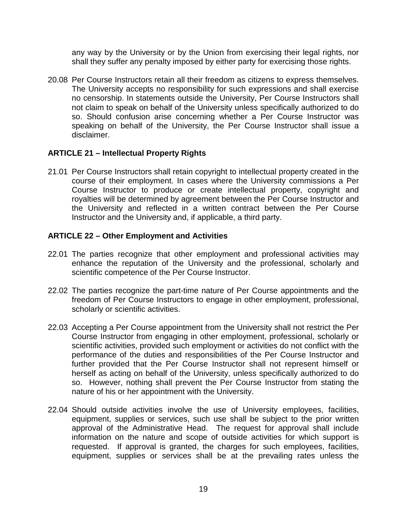any way by the University or by the Union from exercising their legal rights, nor shall they suffer any penalty imposed by either party for exercising those rights.

20.08 Per Course Instructors retain all their freedom as citizens to express themselves. The University accepts no responsibility for such expressions and shall exercise no censorship. In statements outside the University, Per Course Instructors shall not claim to speak on behalf of the University unless specifically authorized to do so. Should confusion arise concerning whether a Per Course Instructor was speaking on behalf of the University, the Per Course Instructor shall issue a disclaimer.

#### **ARTICLE 21 – Intellectual Property Rights**

21.01 Per Course Instructors shall retain copyright to intellectual property created in the course of their employment. In cases where the University commissions a Per Course Instructor to produce or create intellectual property, copyright and royalties will be determined by agreement between the Per Course Instructor and the University and reflected in a written contract between the Per Course Instructor and the University and, if applicable, a third party.

#### **ARTICLE 22 – Other Employment and Activities**

- 22.01 The parties recognize that other employment and professional activities may enhance the reputation of the University and the professional, scholarly and scientific competence of the Per Course Instructor.
- 22.02 The parties recognize the part-time nature of Per Course appointments and the freedom of Per Course Instructors to engage in other employment, professional, scholarly or scientific activities.
- 22.03 Accepting a Per Course appointment from the University shall not restrict the Per Course Instructor from engaging in other employment, professional, scholarly or scientific activities, provided such employment or activities do not conflict with the performance of the duties and responsibilities of the Per Course Instructor and further provided that the Per Course Instructor shall not represent himself or herself as acting on behalf of the University, unless specifically authorized to do so. However, nothing shall prevent the Per Course Instructor from stating the nature of his or her appointment with the University.
- 22.04 Should outside activities involve the use of University employees, facilities, equipment, supplies or services, such use shall be subject to the prior written approval of the Administrative Head. The request for approval shall include information on the nature and scope of outside activities for which support is requested. If approval is granted, the charges for such employees, facilities, equipment, supplies or services shall be at the prevailing rates unless the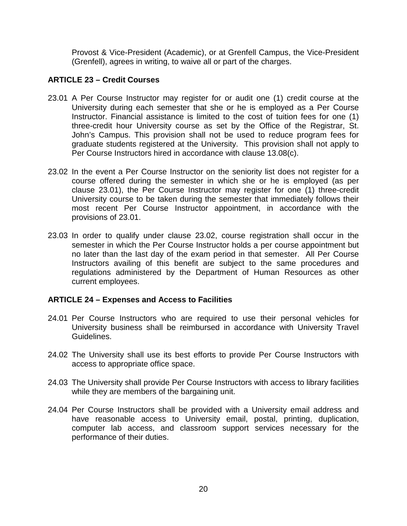Provost & Vice-President (Academic), or at Grenfell Campus, the Vice-President (Grenfell), agrees in writing, to waive all or part of the charges.

#### **ARTICLE 23 – Credit Courses**

- 23.01 A Per Course Instructor may register for or audit one (1) credit course at the University during each semester that she or he is employed as a Per Course Instructor. Financial assistance is limited to the cost of tuition fees for one (1) three-credit hour University course as set by the Office of the Registrar, St. John's Campus. This provision shall not be used to reduce program fees for graduate students registered at the University. This provision shall not apply to Per Course Instructors hired in accordance with clause 13.08(c).
- 23.02 In the event a Per Course Instructor on the seniority list does not register for a course offered during the semester in which she or he is employed (as per clause 23.01), the Per Course Instructor may register for one (1) three-credit University course to be taken during the semester that immediately follows their most recent Per Course Instructor appointment, in accordance with the provisions of 23.01.
- 23.03 In order to qualify under clause 23.02, course registration shall occur in the semester in which the Per Course Instructor holds a per course appointment but no later than the last day of the exam period in that semester. All Per Course Instructors availing of this benefit are subject to the same procedures and regulations administered by the Department of Human Resources as other current employees.

#### **ARTICLE 24 – Expenses and Access to Facilities**

- 24.01 Per Course Instructors who are required to use their personal vehicles for University business shall be reimbursed in accordance with University Travel Guidelines.
- 24.02 The University shall use its best efforts to provide Per Course Instructors with access to appropriate office space.
- 24.03 The University shall provide Per Course Instructors with access to library facilities while they are members of the bargaining unit.
- 24.04 Per Course Instructors shall be provided with a University email address and have reasonable access to University email, postal, printing, duplication, computer lab access, and classroom support services necessary for the performance of their duties.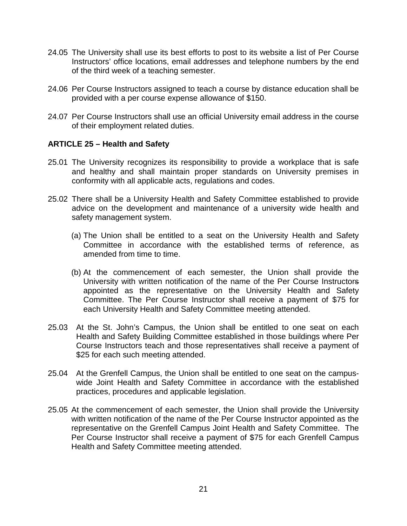- 24.05 The University shall use its best efforts to post to its website a list of Per Course Instructors' office locations, email addresses and telephone numbers by the end of the third week of a teaching semester.
- 24.06 Per Course Instructors assigned to teach a course by distance education shall be provided with a per course expense allowance of \$150.
- 24.07 Per Course Instructors shall use an official University email address in the course of their employment related duties.

#### **ARTICLE 25 – Health and Safety**

- 25.01 The University recognizes its responsibility to provide a workplace that is safe and healthy and shall maintain proper standards on University premises in conformity with all applicable acts, regulations and codes.
- 25.02 There shall be a University Health and Safety Committee established to provide advice on the development and maintenance of a university wide health and safety management system.
	- (a) The Union shall be entitled to a seat on the University Health and Safety Committee in accordance with the established terms of reference, as amended from time to time.
	- (b) At the commencement of each semester, the Union shall provide the University with written notification of the name of the Per Course Instructors appointed as the representative on the University Health and Safety Committee. The Per Course Instructor shall receive a payment of \$75 for each University Health and Safety Committee meeting attended.
- 25.03 At the St. John's Campus, the Union shall be entitled to one seat on each Health and Safety Building Committee established in those buildings where Per Course Instructors teach and those representatives shall receive a payment of \$25 for each such meeting attended.
- 25.04 At the Grenfell Campus, the Union shall be entitled to one seat on the campuswide Joint Health and Safety Committee in accordance with the established practices, procedures and applicable legislation.
- 25.05 At the commencement of each semester, the Union shall provide the University with written notification of the name of the Per Course Instructor appointed as the representative on the Grenfell Campus Joint Health and Safety Committee. The Per Course Instructor shall receive a payment of \$75 for each Grenfell Campus Health and Safety Committee meeting attended.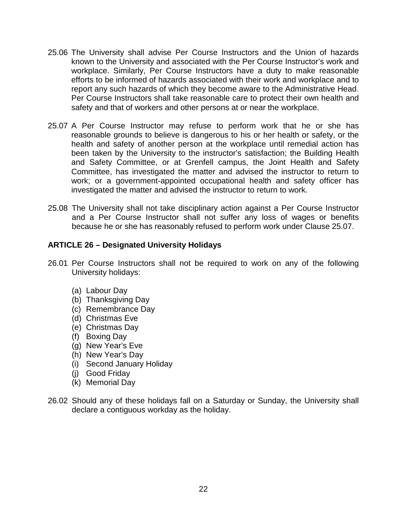- 25.06 The University shall advise Per Course Instructors and the Union of hazards known to the University and associated with the Per Course Instructor's work and workplace. Similarly, Per Course Instructors have a duty to make reasonable efforts to be informed of hazards associated with their work and workplace and to report any such hazards of which they become aware to the Administrative Head. Per Course Instructors shall take reasonable care to protect their own health and safety and that of workers and other persons at or near the workplace.
- 25.07 A Per Course Instructor may refuse to perform work that he or she has reasonable grounds to believe is dangerous to his or her health or safety, or the health and safety of another person at the workplace until remedial action has been taken by the University to the instructor's satisfaction; the Building Health and Safety Committee, or at Grenfell campus, the Joint Health and Safety Committee, has investigated the matter and advised the instructor to return to work; or a government-appointed occupational health and safety officer has investigated the matter and advised the instructor to return to work.
- 25.08 The University shall not take disciplinary action against a Per Course Instructor and a Per Course Instructor shall not suffer any loss of wages or benefits because he or she has reasonably refused to perform work under Clause 25.07.

#### **ARTICLE 26 – Designated University Holidays**

- 26.01 Per Course Instructors shall not be required to work on any of the following University holidays:
	- (a) Labour Day
	- (b) Thanksgiving Day
	- (c) Remembrance Day
	- (d) Christmas Eve
	- (e) Christmas Day
	- (f) Boxing Day
	- (g) New Year's Eve
	- (h) New Year's Day
	- (i) Second January Holiday
	- (j) Good Friday
	- (k) Memorial Day
- 26.02 Should any of these holidays fall on a Saturday or Sunday, the University shall declare a contiguous workday as the holiday.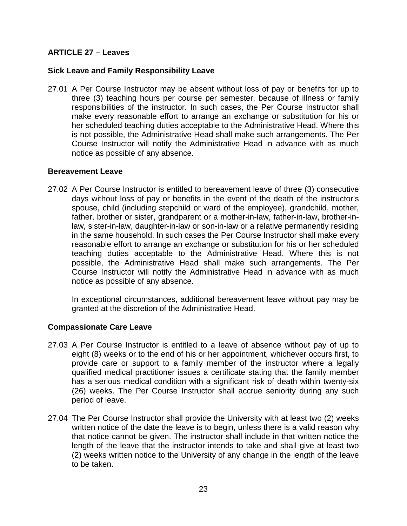### **ARTICLE 27 – Leaves**

#### **Sick Leave and Family Responsibility Leave**

27.01 A Per Course Instructor may be absent without loss of pay or benefits for up to three (3) teaching hours per course per semester, because of illness or family responsibilities of the instructor. In such cases, the Per Course Instructor shall make every reasonable effort to arrange an exchange or substitution for his or her scheduled teaching duties acceptable to the Administrative Head. Where this is not possible, the Administrative Head shall make such arrangements. The Per Course Instructor will notify the Administrative Head in advance with as much notice as possible of any absence.

#### **Bereavement Leave**

27.02 A Per Course Instructor is entitled to bereavement leave of three (3) consecutive days without loss of pay or benefits in the event of the death of the instructor's spouse, child (including stepchild or ward of the employee), grandchild, mother, father, brother or sister, grandparent or a mother-in-law, father-in-law, brother-inlaw, sister-in-law, daughter-in-law or son-in-law or a relative permanently residing in the same household. In such cases the Per Course Instructor shall make every reasonable effort to arrange an exchange or substitution for his or her scheduled teaching duties acceptable to the Administrative Head. Where this is not possible, the Administrative Head shall make such arrangements. The Per Course Instructor will notify the Administrative Head in advance with as much notice as possible of any absence.

In exceptional circumstances, additional bereavement leave without pay may be granted at the discretion of the Administrative Head.

#### **Compassionate Care Leave**

- 27.03 A Per Course Instructor is entitled to a leave of absence without pay of up to eight (8) weeks or to the end of his or her appointment, whichever occurs first, to provide care or support to a family member of the instructor where a legally qualified medical practitioner issues a certificate stating that the family member has a serious medical condition with a significant risk of death within twenty-six (26) weeks. The Per Course Instructor shall accrue seniority during any such period of leave.
- 27.04 The Per Course Instructor shall provide the University with at least two (2) weeks written notice of the date the leave is to begin, unless there is a valid reason why that notice cannot be given. The instructor shall include in that written notice the length of the leave that the instructor intends to take and shall give at least two (2) weeks written notice to the University of any change in the length of the leave to be taken.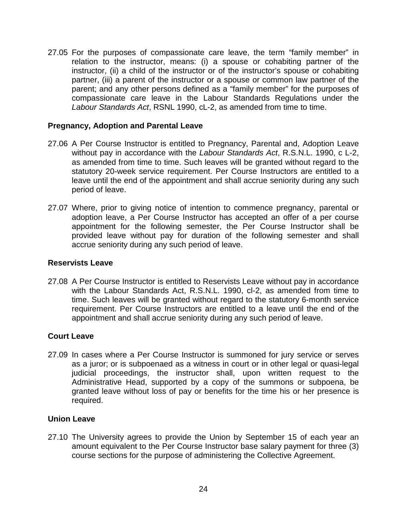27.05 For the purposes of compassionate care leave, the term "family member" in relation to the instructor, means: (i) a spouse or cohabiting partner of the instructor, (ii) a child of the instructor or of the instructor's spouse or cohabiting partner, (iii) a parent of the instructor or a spouse or common law partner of the parent; and any other persons defined as a "family member" for the purposes of compassionate care leave in the Labour Standards Regulations under the *Labour Standards Act*, RSNL 1990, cL-2, as amended from time to time.

#### **Pregnancy, Adoption and Parental Leave**

- 27.06 A Per Course Instructor is entitled to Pregnancy, Parental and, Adoption Leave without pay in accordance with the *Labour Standards Act*, R.S.N.L. 1990, c L-2, as amended from time to time. Such leaves will be granted without regard to the statutory 20-week service requirement. Per Course Instructors are entitled to a leave until the end of the appointment and shall accrue seniority during any such period of leave.
- 27.07 Where, prior to giving notice of intention to commence pregnancy, parental or adoption leave, a Per Course Instructor has accepted an offer of a per course appointment for the following semester, the Per Course Instructor shall be provided leave without pay for duration of the following semester and shall accrue seniority during any such period of leave.

#### **Reservists Leave**

27.08 A Per Course Instructor is entitled to Reservists Leave without pay in accordance with the Labour Standards Act, R.S.N.L. 1990, cl-2, as amended from time to time. Such leaves will be granted without regard to the statutory 6-month service requirement. Per Course Instructors are entitled to a leave until the end of the appointment and shall accrue seniority during any such period of leave.

#### **Court Leave**

27.09 In cases where a Per Course Instructor is summoned for jury service or serves as a juror; or is subpoenaed as a witness in court or in other legal or quasi-legal judicial proceedings, the instructor shall, upon written request to the Administrative Head, supported by a copy of the summons or subpoena, be granted leave without loss of pay or benefits for the time his or her presence is required.

#### **Union Leave**

27.10 The University agrees to provide the Union by September 15 of each year an amount equivalent to the Per Course Instructor base salary payment for three (3) course sections for the purpose of administering the Collective Agreement.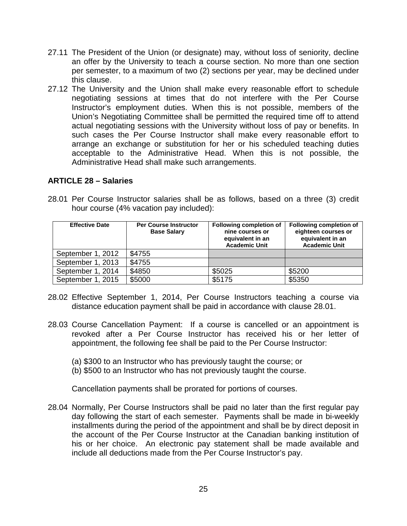- 27.11 The President of the Union (or designate) may, without loss of seniority, decline an offer by the University to teach a course section. No more than one section per semester, to a maximum of two (2) sections per year, may be declined under this clause.
- 27.12 The University and the Union shall make every reasonable effort to schedule negotiating sessions at times that do not interfere with the Per Course Instructor's employment duties. When this is not possible, members of the Union's Negotiating Committee shall be permitted the required time off to attend actual negotiating sessions with the University without loss of pay or benefits. In such cases the Per Course Instructor shall make every reasonable effort to arrange an exchange or substitution for her or his scheduled teaching duties acceptable to the Administrative Head. When this is not possible, the Administrative Head shall make such arrangements.

#### **ARTICLE 28 – Salaries**

28.01 Per Course Instructor salaries shall be as follows, based on a three (3) credit hour course (4% vacation pay included):

| <b>Effective Date</b> | <b>Per Course Instructor</b><br><b>Base Salary</b> | <b>Following completion of</b><br>nine courses or<br>equivalent in an<br><b>Academic Unit</b> | Following completion of<br>eighteen courses or<br>equivalent in an<br><b>Academic Unit</b> |
|-----------------------|----------------------------------------------------|-----------------------------------------------------------------------------------------------|--------------------------------------------------------------------------------------------|
| September 1, 2012     | \$4755                                             |                                                                                               |                                                                                            |
| September 1, 2013     | \$4755                                             |                                                                                               |                                                                                            |
| September 1, 2014     | \$4850                                             | \$5025                                                                                        | \$5200                                                                                     |
| September 1, 2015     | \$5000                                             | \$5175                                                                                        | \$5350                                                                                     |

- 28.02 Effective September 1, 2014, Per Course Instructors teaching a course via distance education payment shall be paid in accordance with clause 28.01.
- 28.03 Course Cancellation Payment: If a course is cancelled or an appointment is revoked after a Per Course Instructor has received his or her letter of appointment, the following fee shall be paid to the Per Course Instructor:
	- (a) \$300 to an Instructor who has previously taught the course; or
	- (b) \$500 to an Instructor who has not previously taught the course.

Cancellation payments shall be prorated for portions of courses.

28.04 Normally, Per Course Instructors shall be paid no later than the first regular pay day following the start of each semester. Payments shall be made in bi-weekly installments during the period of the appointment and shall be by direct deposit in the account of the Per Course Instructor at the Canadian banking institution of his or her choice. An electronic pay statement shall be made available and include all deductions made from the Per Course Instructor's pay.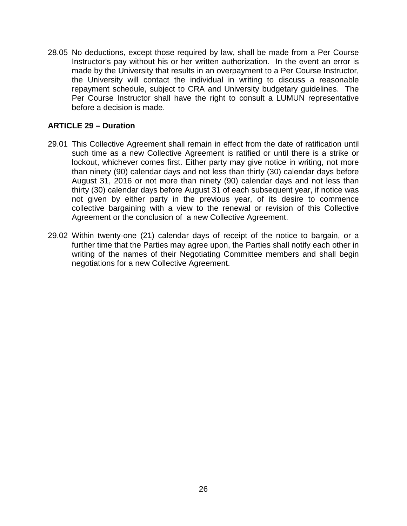28.05 No deductions, except those required by law, shall be made from a Per Course Instructor's pay without his or her written authorization. In the event an error is made by the University that results in an overpayment to a Per Course Instructor, the University will contact the individual in writing to discuss a reasonable repayment schedule, subject to CRA and University budgetary guidelines. The Per Course Instructor shall have the right to consult a LUMUN representative before a decision is made.

#### **ARTICLE 29 – Duration**

- 29.01 This Collective Agreement shall remain in effect from the date of ratification until such time as a new Collective Agreement is ratified or until there is a strike or lockout, whichever comes first. Either party may give notice in writing, not more than ninety (90) calendar days and not less than thirty (30) calendar days before August 31, 2016 or not more than ninety (90) calendar days and not less than thirty (30) calendar days before August 31 of each subsequent year, if notice was not given by either party in the previous year, of its desire to commence collective bargaining with a view to the renewal or revision of this Collective Agreement or the conclusion of a new Collective Agreement.
- 29.02 Within twenty-one (21) calendar days of receipt of the notice to bargain, or a further time that the Parties may agree upon, the Parties shall notify each other in writing of the names of their Negotiating Committee members and shall begin negotiations for a new Collective Agreement.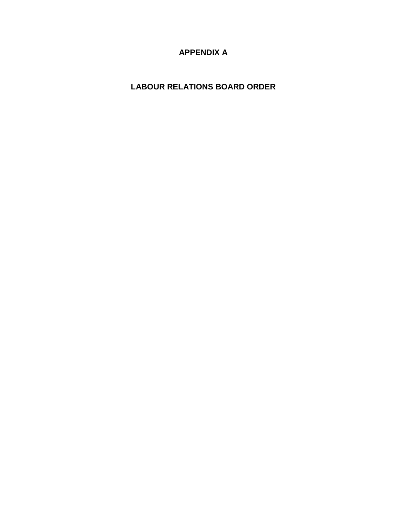### **APPENDIX A**

### **LABOUR RELATIONS BOARD ORDER**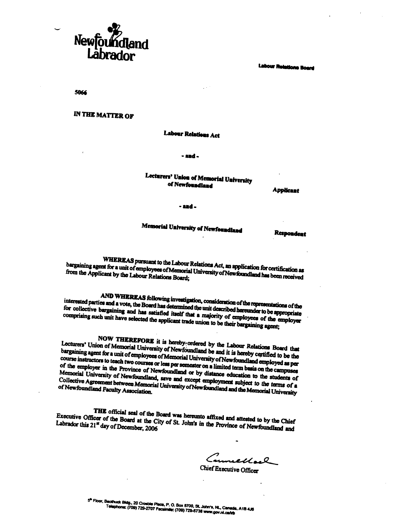

**Labour Relations Board** 

5066

**IN THE MATTER OF** 

Labour Relations Act

- and -

#### Lecturers' Union of Memorial University of Newfoundland

**Applicant** 

- and .

# Memorial University of Newfoundland

**Respondent** 

WHEREAS pursuant to the Labour Relations Act, an application for certification as bargaining agent for a unit of employees of Memorial University of Newfoundland has been received from the Applicant by the Labour Relations Board;

AND WHEREAS following investigation, consideration of the representations of the interested parties and a vote, the Board has determined the unit described hereunder to be appropriate for collective bargaining and has satisfied itself that a majority of employees of the employer comprising such unit have selected the applicant trade union to be their bargaining agent;

NOW THEREFORE it is hereby ordered by the Labour Relations Board that Lecturers' Union of Memorial University of Newfoundland be and it is hereby certified to be the bargaining agent for a unit of employees of Memorial University of Newfoundland employed as per course instructors to teach two courses or less per semester on a limited term basis on the campuses of the employer in the Province of Newfoundland or by distance education to the students of Memorial University of Newfoundland, save and except employment subject to the terms of a Collective Agreement between Memorial University of New foundland and the Memorial University

THE official seal of the Board was hereunto affixed and attested to by the Chief Executive Officer of the Board at the City of St. John's in the Province of Newfoundland and Labrador this 21<sup>st</sup> day of December, 2006

Sumellach Chief Executive Officer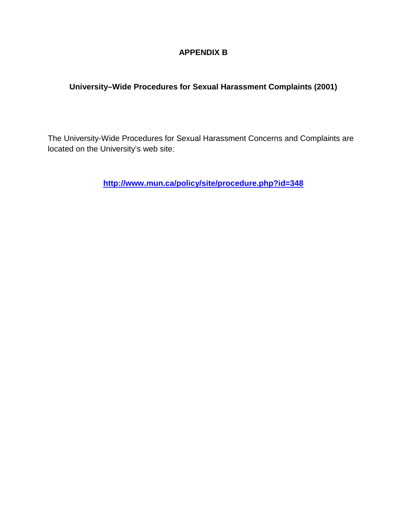### **APPENDIX B**

### **University–Wide Procedures for Sexual Harassment Complaints (2001)**

The University-Wide Procedures for Sexual Harassment Concerns and Complaints are located on the University's web site:

**<http://www.mun.ca/policy/site/procedure.php?id=348>**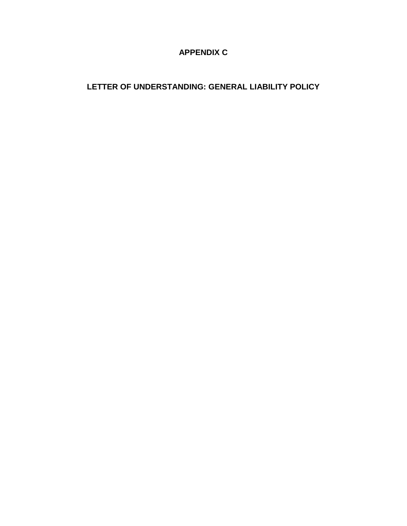### **APPENDIX C**

### **LETTER OF UNDERSTANDING: GENERAL LIABILITY POLICY**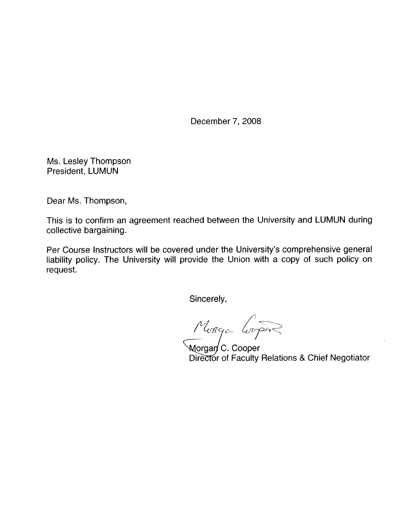December 7, 2008

Ms. Lesley Thompson President, LUMUN

Dear Ms. Thompson,

This is to confirm an agreement reached between the University and LUMUN during collective bargaining.

Per Course Instructors will be covered under the University's comprehensive general liability policy. The University will provide the Union with a copy of such policy on request.

Sincerely,

Munga Lorper

Director of Faculty Relations & Chief Negotiator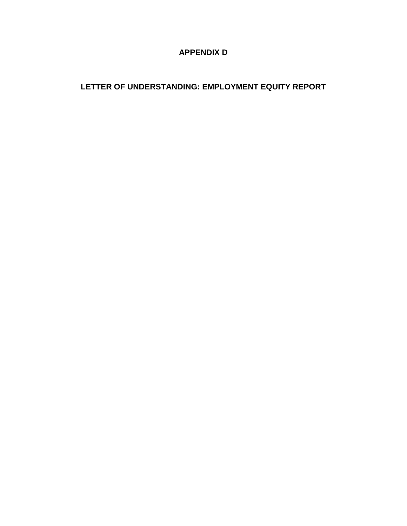### **APPENDIX D**

### **LETTER OF UNDERSTANDING: EMPLOYMENT EQUITY REPORT**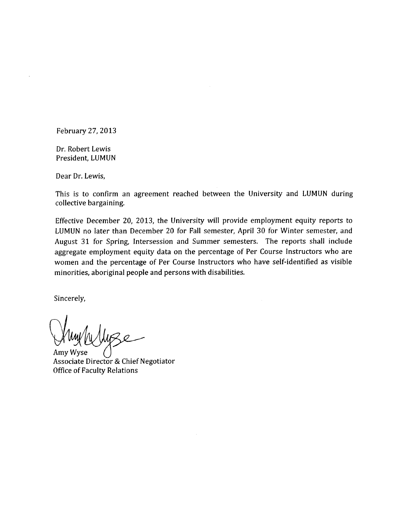February 27, 2013

Dr. Robert Lewis President. LUMUN

Dear Dr. Lewis,

This is to confirm an agreement reached between the University and LUMUN during collective bargaining.

Effective December 20, 2013, the University will provide employment equity reports to LUMUN no later than December 20 for Fall semester, April 30 for Winter semester, and August 31 for Spring, Intersession and Summer semesters. The reports shall include aggregate employment equity data on the percentage of Per Course Instructors who are women and the percentage of Per Course Instructors who have self-identified as visible minorities, aboriginal people and persons with disabilities.

Sincerely,

Amv Wyse Associate Director & Chief Negotiator **Office of Faculty Relations**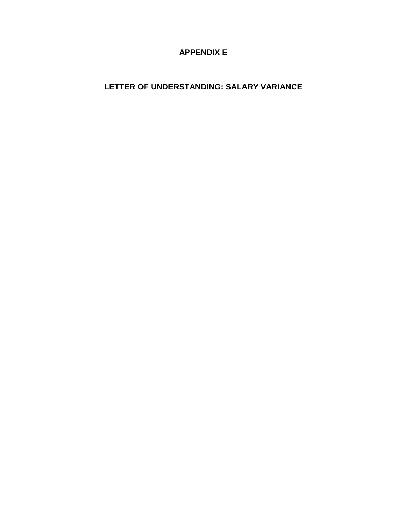### **APPENDIX E**

### **LETTER OF UNDERSTANDING: SALARY VARIANCE**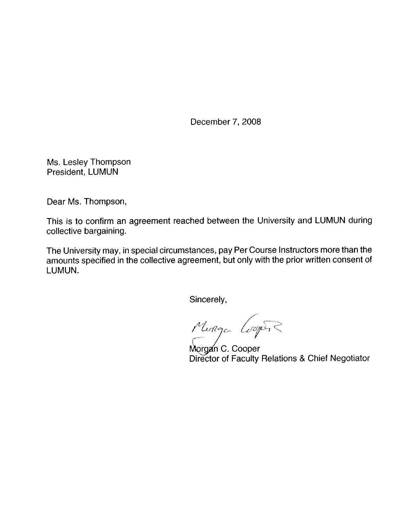December 7, 2008

Ms. Lesley Thompson President, LUMUN

Dear Ms. Thompson,

This is to confirm an agreement reached between the University and LUMUN during collective bargaining.

The University may, in special circumstances, pay Per Course Instructors more than the amounts specified in the collective agreement, but only with the prior written consent of LUMUN.

Sincerely,

Monga Cooper

Morgan C. Cooper Director of Faculty Relations & Chief Negotiator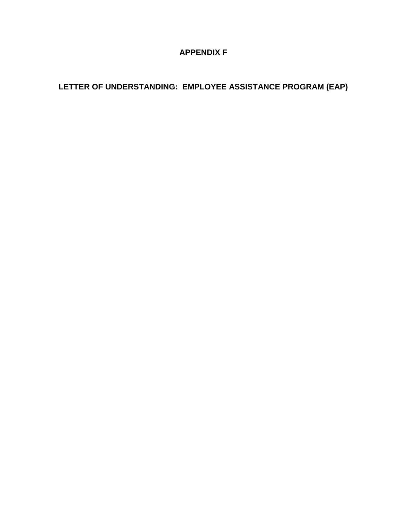### **APPENDIX F**

### **LETTER OF UNDERSTANDING: EMPLOYEE ASSISTANCE PROGRAM (EAP)**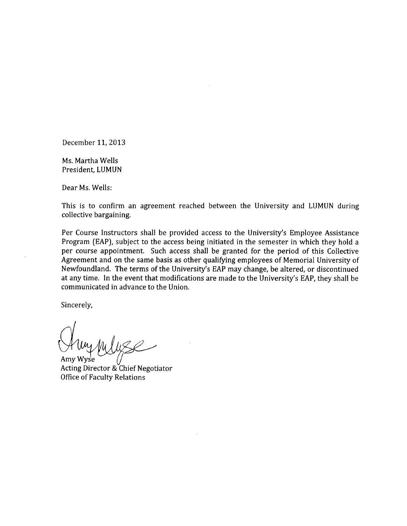December 11, 2013

Ms. Martha Wells President, LUMUN

Dear Ms. Wells:

This is to confirm an agreement reached between the University and LUMUN during collective bargaining.

Per Course Instructors shall be provided access to the University's Employee Assistance Program (EAP), subject to the access being initiated in the semester in which they hold a per course appointment. Such access shall be granted for the period of this Collective Agreement and on the same basis as other qualifying employees of Memorial University of Newfoundland. The terms of the University's EAP may change, be altered, or discontinued at any time. In the event that modifications are made to the University's EAP, they shall be communicated in advance to the Union.

Sincerely,

Amy Wyse Acting Director & Chief Negotiator **Office of Faculty Relations**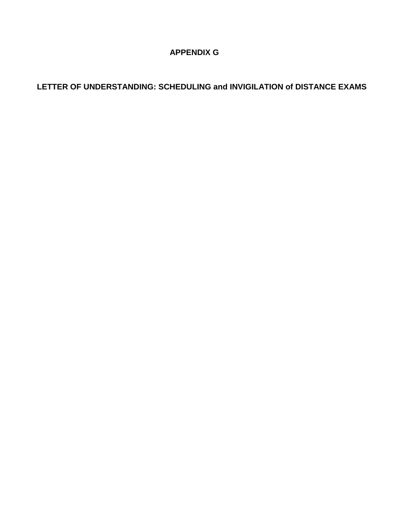### **APPENDIX G**

### **LETTER OF UNDERSTANDING: SCHEDULING and INVIGILATION of DISTANCE EXAMS**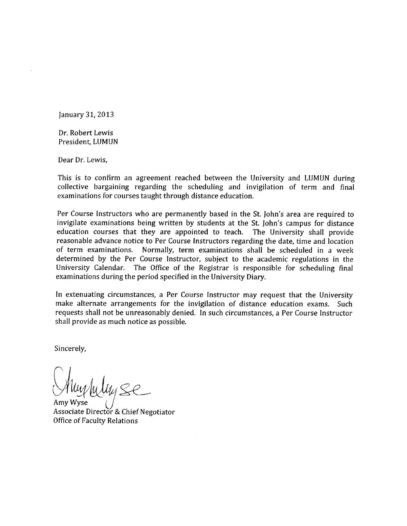January 31, 2013

Dr. Robert Lewis President, LUMUN

Dear Dr. Lewis,

This is to confirm an agreement reached between the University and LUMUN during collective bargaining regarding the scheduling and invigilation of term and final examinations for courses taught through distance education.

Per Course Instructors who are permanently based in the St. John's area are required to invigilate examinations being written by students at the St. John's campus for distance education courses that they are appointed to teach. The University shall provide reasonable advance notice to Per Course Instructors regarding the date, time and location of term examinations. Normally, term examinations shall be scheduled in a week determined by the Per Course Instructor, subject to the academic regulations in the University Calendar. The Office of the Registrar is responsible for scheduling final examinations during the period specified in the University Diary.

In extenuating circumstances, a Per Course Instructor may request that the University make alternate arrangements for the invigilation of distance education exams. Such requests shall not be unreasonably denied. In such circumstances, a Per Course Instructor shall provide as much notice as possible.

Sincerely,

Associate Director & Chief Negotiator **Office of Faculty Relations**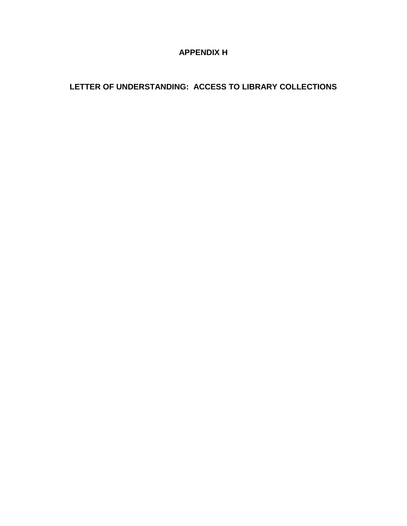### **APPENDIX H**

### **LETTER OF UNDERSTANDING: ACCESS TO LIBRARY COLLECTIONS**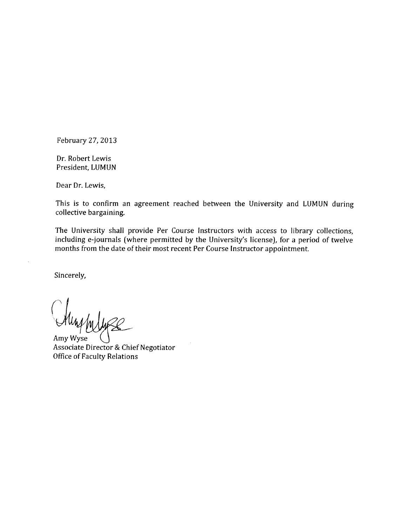February 27, 2013

Dr. Robert Lewis President, LUMUN

Dear Dr. Lewis,

This is to confirm an agreement reached between the University and LUMUN during collective bargaining.

The University shall provide Per Course Instructors with access to library collections, including e-journals (where permitted by the University's license), for a period of twelve months from the date of their most recent Per Course Instructor appointment.

Sincerely,

Amy Wyse

Associate Director & Chief Negotiator **Office of Faculty Relations**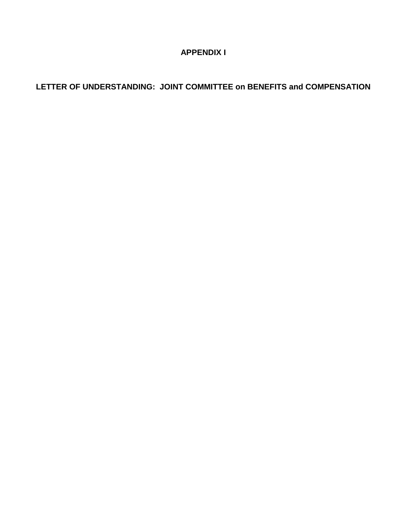### **APPENDIX I**

### **LETTER OF UNDERSTANDING: JOINT COMMITTEE on BENEFITS and COMPENSATION**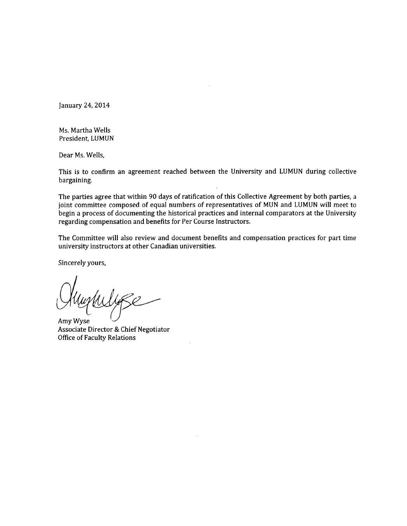January 24, 2014

Ms. Martha Wells President, LUMUN

Dear Ms. Wells,

This is to confirm an agreement reached between the University and LUMUN during collective bargaining.

The parties agree that within 90 days of ratification of this Collective Agreement by both parties, a joint committee composed of equal numbers of representatives of MUN and LUMUN will meet to begin a process of documenting the historical practices and internal comparators at the University regarding compensation and benefits for Per Course Instructors.

The Committee will also review and document benefits and compensation practices for part time university instructors at other Canadian universities.

Sincerely yours,

Amy Wyse Associate Director & Chief Negotiator **Office of Faculty Relations**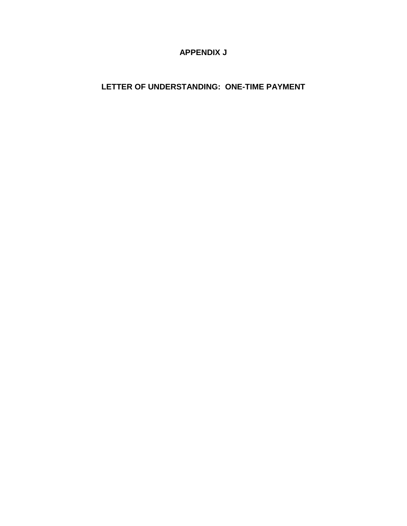### **APPENDIX J**

### **LETTER OF UNDERSTANDING: ONE-TIME PAYMENT**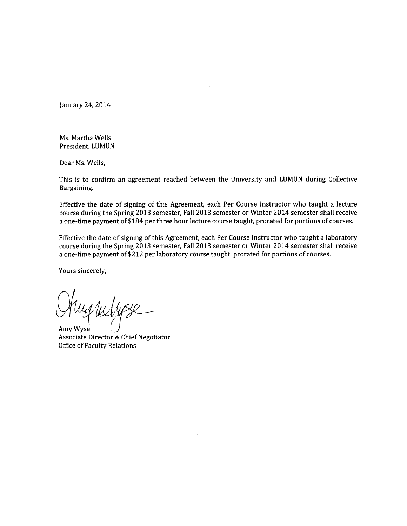January 24, 2014

Ms. Martha Wells President. LUMUN

Dear Ms. Wells,

This is to confirm an agreement reached between the University and LUMUN during Collective Bargaining.

Effective the date of signing of this Agreement, each Per Course Instructor who taught a lecture course during the Spring 2013 semester, Fall 2013 semester or Winter 2014 semester shall receive a one-time payment of \$184 per three hour lecture course taught, prorated for portions of courses.

Effective the date of signing of this Agreement, each Per Course Instructor who taught a laboratory course during the Spring 2013 semester, Fall 2013 semester or Winter 2014 semester shall receive a one-time payment of \$212 per laboratory course taught, prorated for portions of courses.

Yours sincerely,

Amy Wyse Associate Director & Chief Negotiator **Office of Faculty Relations**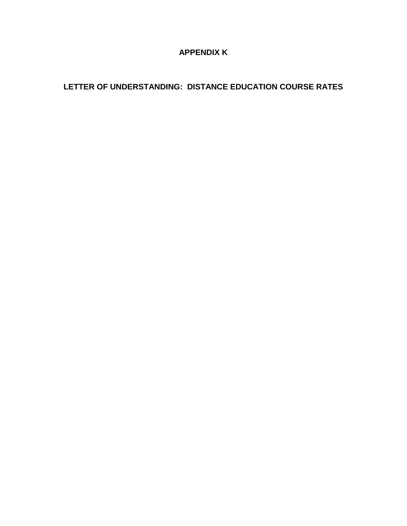### **APPENDIX K**

### **LETTER OF UNDERSTANDING: DISTANCE EDUCATION COURSE RATES**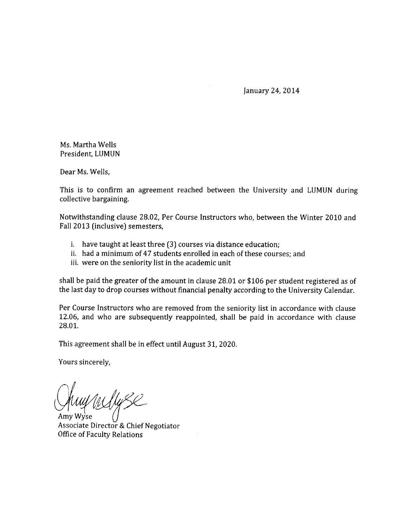January 24, 2014

Ms. Martha Wells President, LUMUN

Dear Ms. Wells,

This is to confirm an agreement reached between the University and LUMUN during collective bargaining.

Notwithstanding clause 28.02, Per Course Instructors who, between the Winter 2010 and Fall 2013 (inclusive) semesters,

- i. have taught at least three (3) courses via distance education;
- ii. had a minimum of 47 students enrolled in each of these courses; and
- iii. were on the seniority list in the academic unit

shall be paid the greater of the amount in clause 28.01 or \$106 per student registered as of the last day to drop courses without financial penalty according to the University Calendar.

Per Course Instructors who are removed from the seniority list in accordance with clause 12.06, and who are subsequently reappointed, shall be paid in accordance with clause 28.01.

This agreement shall be in effect until August 31, 2020.

Yours sincerely,

Associate Director & Chief Negotiator **Office of Faculty Relations**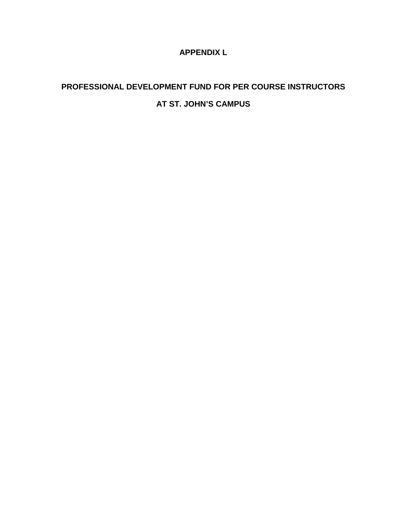### **APPENDIX L**

# **PROFESSIONAL DEVELOPMENT FUND FOR PER COURSE INSTRUCTORS AT ST. JOHN'S CAMPUS**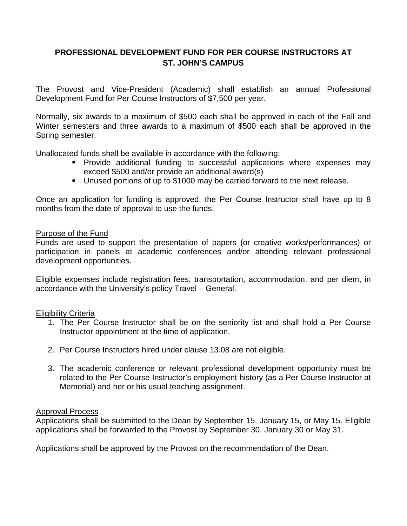### **PROFESSIONAL DEVELOPMENT FUND FOR PER COURSE INSTRUCTORS AT ST. JOHN'S CAMPUS**

The Provost and Vice-President (Academic) shall establish an annual Professional Development Fund for Per Course Instructors of \$7,500 per year.

Normally, six awards to a maximum of \$500 each shall be approved in each of the Fall and Winter semesters and three awards to a maximum of \$500 each shall be approved in the Spring semester.

Unallocated funds shall be available in accordance with the following:

- **Provide additional funding to successful applications where expenses may** exceed \$500 and/or provide an additional award(s)
- Unused portions of up to \$1000 may be carried forward to the next release.

Once an application for funding is approved, the Per Course Instructor shall have up to 8 months from the date of approval to use the funds.

#### Purpose of the Fund

Funds are used to support the presentation of papers (or creative works/performances) or participation in panels at academic conferences and/or attending relevant professional development opportunities.

Eligible expenses include registration fees, transportation, accommodation, and per diem, in accordance with the University's policy Travel – General.

#### Eligibility Criteria

- 1. The Per Course Instructor shall be on the seniority list and shall hold a Per Course Instructor appointment at the time of application.
- 2. Per Course Instructors hired under clause 13.08 are not eligible.
- 3. The academic conference or relevant professional development opportunity must be related to the Per Course Instructor's employment history (as a Per Course Instructor at Memorial) and her or his usual teaching assignment.

#### Approval Process

Applications shall be submitted to the Dean by September 15, January 15, or May 15. Eligible applications shall be forwarded to the Provost by September 30, January 30 or May 31.

Applications shall be approved by the Provost on the recommendation of the Dean.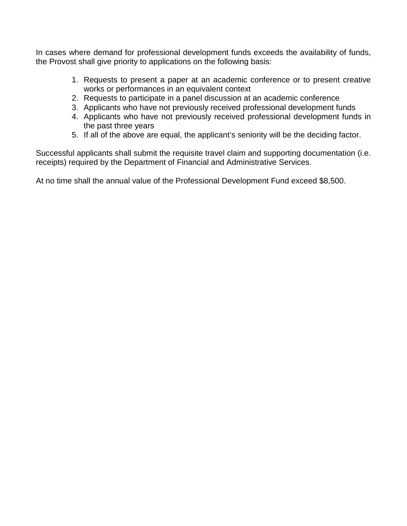In cases where demand for professional development funds exceeds the availability of funds, the Provost shall give priority to applications on the following basis:

- 1. Requests to present a paper at an academic conference or to present creative works or performances in an equivalent context
- 2. Requests to participate in a panel discussion at an academic conference
- 3. Applicants who have not previously received professional development funds
- 4. Applicants who have not previously received professional development funds in the past three years
- 5. If all of the above are equal, the applicant's seniority will be the deciding factor.

Successful applicants shall submit the requisite travel claim and supporting documentation (i.e. receipts) required by the Department of Financial and Administrative Services.

At no time shall the annual value of the Professional Development Fund exceed \$8,500.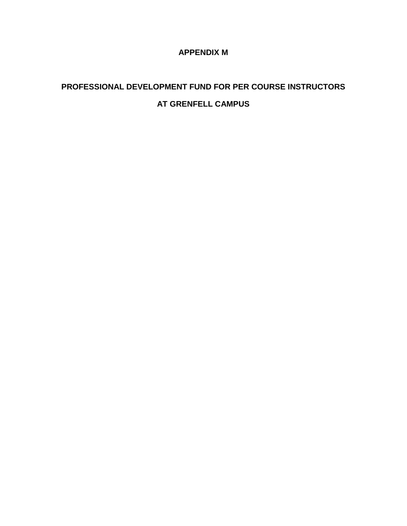### **APPENDIX M**

# **PROFESSIONAL DEVELOPMENT FUND FOR PER COURSE INSTRUCTORS AT GRENFELL CAMPUS**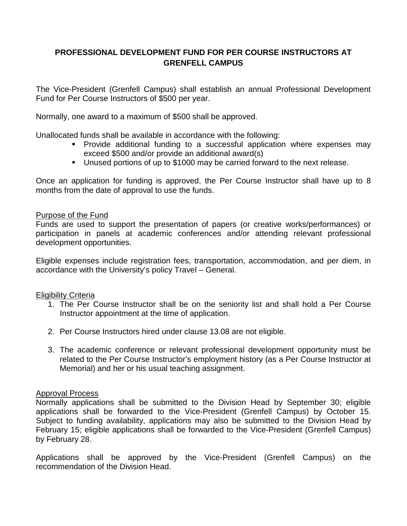### **PROFESSIONAL DEVELOPMENT FUND FOR PER COURSE INSTRUCTORS AT GRENFELL CAMPUS**

The Vice-President (Grenfell Campus) shall establish an annual Professional Development Fund for Per Course Instructors of \$500 per year.

Normally, one award to a maximum of \$500 shall be approved.

Unallocated funds shall be available in accordance with the following:

- **Provide additional funding to a successful application where expenses may** exceed \$500 and/or provide an additional award(s)
- Unused portions of up to \$1000 may be carried forward to the next release.

Once an application for funding is approved, the Per Course Instructor shall have up to 8 months from the date of approval to use the funds.

#### Purpose of the Fund

Funds are used to support the presentation of papers (or creative works/performances) or participation in panels at academic conferences and/or attending relevant professional development opportunities.

Eligible expenses include registration fees, transportation, accommodation, and per diem, in accordance with the University's policy Travel – General.

Eligibility Criteria

- 1. The Per Course Instructor shall be on the seniority list and shall hold a Per Course Instructor appointment at the time of application.
- 2. Per Course Instructors hired under clause 13.08 are not eligible.
- 3. The academic conference or relevant professional development opportunity must be related to the Per Course Instructor's employment history (as a Per Course Instructor at Memorial) and her or his usual teaching assignment.

#### Approval Process

Normally applications shall be submitted to the Division Head by September 30; eligible applications shall be forwarded to the Vice-President (Grenfell Campus) by October 15. Subject to funding availability, applications may also be submitted to the Division Head by February 15; eligible applications shall be forwarded to the Vice-President (Grenfell Campus) by February 28.

Applications shall be approved by the Vice-President (Grenfell Campus) on the recommendation of the Division Head.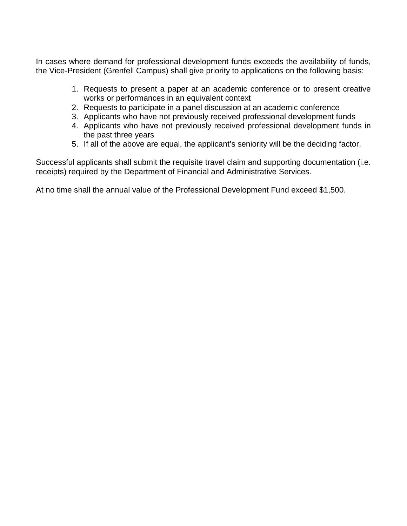In cases where demand for professional development funds exceeds the availability of funds, the Vice-President (Grenfell Campus) shall give priority to applications on the following basis:

- 1. Requests to present a paper at an academic conference or to present creative works or performances in an equivalent context
- 2. Requests to participate in a panel discussion at an academic conference
- 3. Applicants who have not previously received professional development funds
- 4. Applicants who have not previously received professional development funds in the past three years
- 5. If all of the above are equal, the applicant's seniority will be the deciding factor.

Successful applicants shall submit the requisite travel claim and supporting documentation (i.e. receipts) required by the Department of Financial and Administrative Services.

At no time shall the annual value of the Professional Development Fund exceed \$1,500.